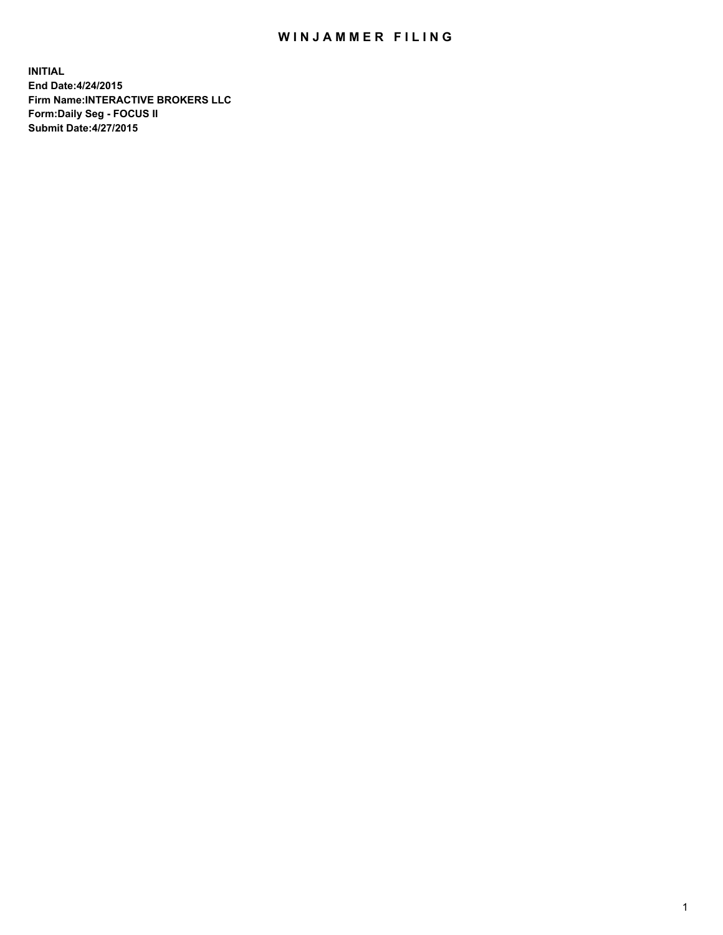## WIN JAMMER FILING

**INITIAL End Date:4/24/2015 Firm Name:INTERACTIVE BROKERS LLC Form:Daily Seg - FOCUS II Submit Date:4/27/2015**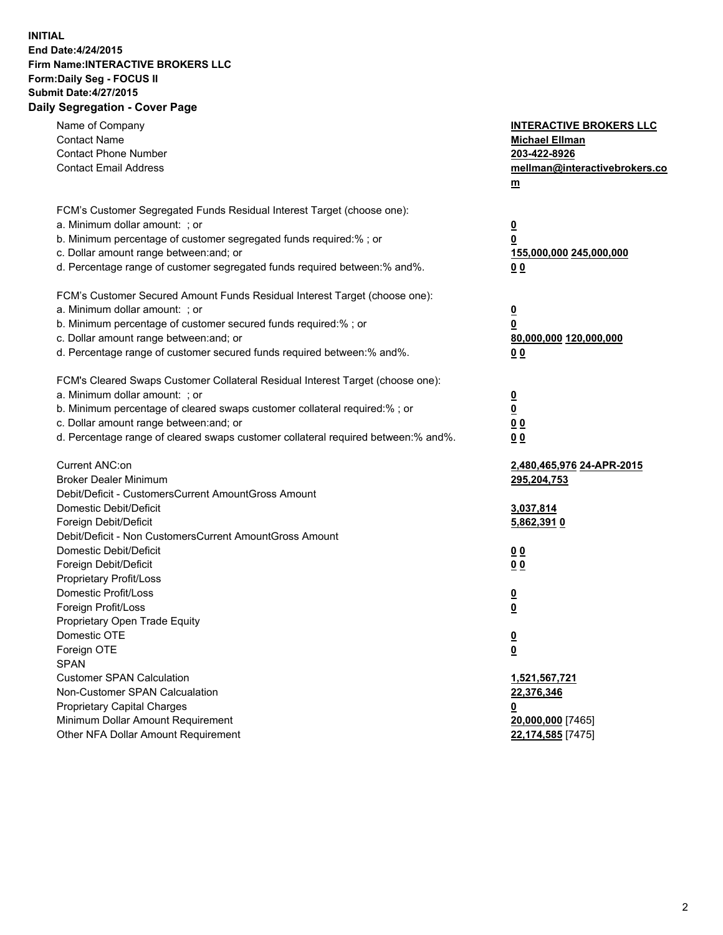## **INITIAL End Date:4/24/2015 Firm Name:INTERACTIVE BROKERS LLC Form:Daily Seg - FOCUS II Submit Date:4/27/2015 Daily Segregation - Cover Page**

| Name of Company<br><b>Contact Name</b><br><b>Contact Phone Number</b><br><b>Contact Email Address</b>    | <b>INTERACTIVE BROKERS LLC</b><br><b>Michael Ellman</b><br>203-422-8926<br>mellman@interactivebrokers.co<br>$m$ |
|----------------------------------------------------------------------------------------------------------|-----------------------------------------------------------------------------------------------------------------|
| FCM's Customer Segregated Funds Residual Interest Target (choose one):<br>a. Minimum dollar amount: ; or | $\overline{\mathbf{0}}$                                                                                         |
| b. Minimum percentage of customer segregated funds required:% ; or                                       | 0                                                                                                               |
| c. Dollar amount range between: and; or                                                                  | 155,000,000 245,000,000                                                                                         |
| d. Percentage range of customer segregated funds required between:% and%.                                | 0 <sub>0</sub>                                                                                                  |
| FCM's Customer Secured Amount Funds Residual Interest Target (choose one):                               |                                                                                                                 |
| a. Minimum dollar amount: ; or                                                                           | $\overline{\mathbf{0}}$                                                                                         |
| b. Minimum percentage of customer secured funds required:% ; or                                          | 0                                                                                                               |
| c. Dollar amount range between: and; or                                                                  | 80,000,000 120,000,000                                                                                          |
| d. Percentage range of customer secured funds required between:% and%.                                   | 0 <sub>0</sub>                                                                                                  |
| FCM's Cleared Swaps Customer Collateral Residual Interest Target (choose one):                           |                                                                                                                 |
| a. Minimum dollar amount: ; or                                                                           | $\overline{\mathbf{0}}$                                                                                         |
| b. Minimum percentage of cleared swaps customer collateral required:% ; or                               | $\overline{\mathbf{0}}$                                                                                         |
| c. Dollar amount range between: and; or                                                                  | 0 <sub>0</sub>                                                                                                  |
| d. Percentage range of cleared swaps customer collateral required between:% and%.                        | 0 <sub>0</sub>                                                                                                  |
| Current ANC:on                                                                                           | 2,480,465,976 24-APR-2015                                                                                       |
| <b>Broker Dealer Minimum</b>                                                                             | 295,204,753                                                                                                     |
| Debit/Deficit - CustomersCurrent AmountGross Amount                                                      |                                                                                                                 |
| Domestic Debit/Deficit                                                                                   | 3,037,814                                                                                                       |
| Foreign Debit/Deficit                                                                                    | 5,862,3910                                                                                                      |
| Debit/Deficit - Non CustomersCurrent AmountGross Amount                                                  |                                                                                                                 |
| Domestic Debit/Deficit                                                                                   | 0 <sub>0</sub>                                                                                                  |
| Foreign Debit/Deficit                                                                                    | 0 <sub>0</sub>                                                                                                  |
| Proprietary Profit/Loss                                                                                  |                                                                                                                 |
| Domestic Profit/Loss<br>Foreign Profit/Loss                                                              | $\overline{\mathbf{0}}$                                                                                         |
| Proprietary Open Trade Equity                                                                            | $\underline{\mathbf{0}}$                                                                                        |
| Domestic OTE                                                                                             | <u>0</u>                                                                                                        |
| Foreign OTE                                                                                              | <u>0</u>                                                                                                        |
| <b>SPAN</b>                                                                                              |                                                                                                                 |
| <b>Customer SPAN Calculation</b>                                                                         | 1,521,567,721                                                                                                   |
| Non-Customer SPAN Calcualation                                                                           | 22,376,346                                                                                                      |
| Proprietary Capital Charges                                                                              | <u>0</u>                                                                                                        |
| Minimum Dollar Amount Requirement                                                                        | 20,000,000 [7465]                                                                                               |
| Other NFA Dollar Amount Requirement                                                                      | 22,174,585 [7475]                                                                                               |
|                                                                                                          |                                                                                                                 |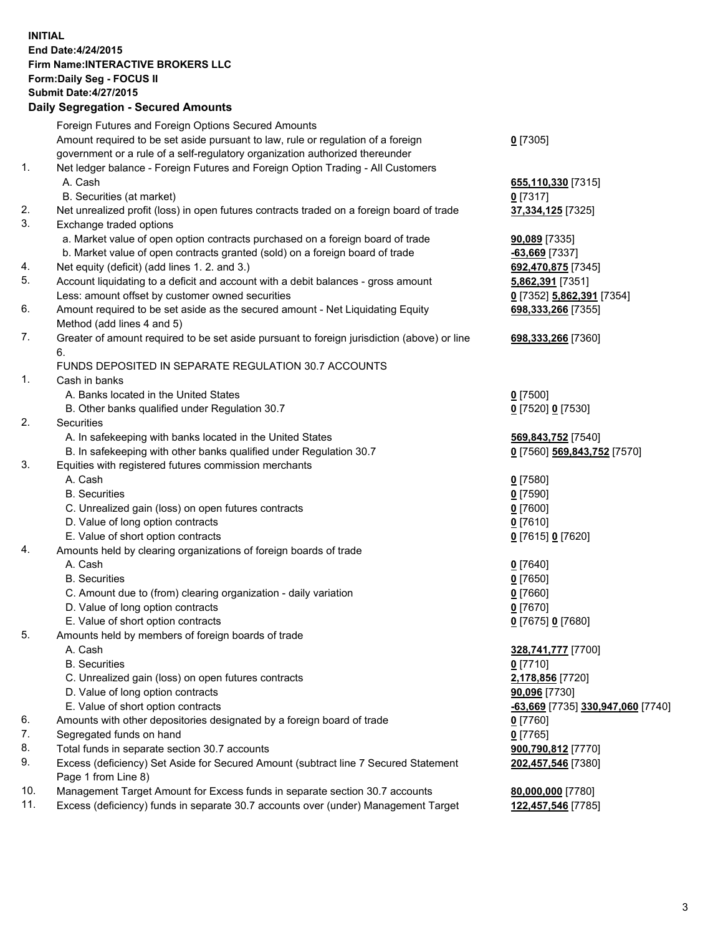## **INITIAL End Date:4/24/2015 Firm Name:INTERACTIVE BROKERS LLC Form:Daily Seg - FOCUS II Submit Date:4/27/2015 Daily Segregation - Secured Amounts**

|     | $-$ 0.000 $-$ 0.000 $-$ 0.000 $-$ 0.000 $-$ 0.000 $-$ 0.000 $-$ 0.000 $-$ 0.000 $-$ 0.000 $-$ 0.000 $-$ 0.000 $-$ 0.000 $-$ 0.000 $-$ 0.000 $-$ 0.000 $-$ 0.000 $-$ 0.000 $-$ 0.000 $-$ 0.000 $-$ 0.000 $-$ 0.000 $-$ 0.000 |                                                |
|-----|-----------------------------------------------------------------------------------------------------------------------------------------------------------------------------------------------------------------------------|------------------------------------------------|
|     | Foreign Futures and Foreign Options Secured Amounts                                                                                                                                                                         |                                                |
|     | Amount required to be set aside pursuant to law, rule or regulation of a foreign                                                                                                                                            | $0$ [7305]                                     |
|     | government or a rule of a self-regulatory organization authorized thereunder                                                                                                                                                |                                                |
| 1.  | Net ledger balance - Foreign Futures and Foreign Option Trading - All Customers                                                                                                                                             |                                                |
|     | A. Cash                                                                                                                                                                                                                     | 655,110,330 [7315]                             |
|     | B. Securities (at market)                                                                                                                                                                                                   | $0$ [7317]                                     |
| 2.  | Net unrealized profit (loss) in open futures contracts traded on a foreign board of trade                                                                                                                                   | 37,334,125 [7325]                              |
| 3.  | Exchange traded options                                                                                                                                                                                                     |                                                |
|     | a. Market value of open option contracts purchased on a foreign board of trade                                                                                                                                              | 90,089 [7335]                                  |
|     | b. Market value of open contracts granted (sold) on a foreign board of trade                                                                                                                                                | -63,669 [7337]                                 |
| 4.  | Net equity (deficit) (add lines 1.2. and 3.)                                                                                                                                                                                | 692,470,875 [7345]                             |
| 5.  | Account liquidating to a deficit and account with a debit balances - gross amount                                                                                                                                           | 5,862,391 [7351]                               |
|     | Less: amount offset by customer owned securities                                                                                                                                                                            | 0 [7352] 5,862,391 [7354]                      |
| 6.  | Amount required to be set aside as the secured amount - Net Liquidating Equity                                                                                                                                              | 698,333,266 [7355]                             |
|     | Method (add lines 4 and 5)                                                                                                                                                                                                  |                                                |
| 7.  | Greater of amount required to be set aside pursuant to foreign jurisdiction (above) or line                                                                                                                                 | 698,333,266 [7360]                             |
|     | 6.                                                                                                                                                                                                                          |                                                |
|     | FUNDS DEPOSITED IN SEPARATE REGULATION 30.7 ACCOUNTS                                                                                                                                                                        |                                                |
| 1.  | Cash in banks                                                                                                                                                                                                               |                                                |
|     | A. Banks located in the United States                                                                                                                                                                                       | $0$ [7500]                                     |
|     | B. Other banks qualified under Regulation 30.7                                                                                                                                                                              | 0 [7520] 0 [7530]                              |
| 2.  | Securities                                                                                                                                                                                                                  |                                                |
|     | A. In safekeeping with banks located in the United States                                                                                                                                                                   | 569,843,752 [7540]                             |
|     | B. In safekeeping with other banks qualified under Regulation 30.7                                                                                                                                                          | 0 [7560] 569,843,752 [7570]                    |
| 3.  | Equities with registered futures commission merchants                                                                                                                                                                       |                                                |
|     | A. Cash                                                                                                                                                                                                                     | $0$ [7580]                                     |
|     | <b>B.</b> Securities                                                                                                                                                                                                        | $0$ [7590]                                     |
|     | C. Unrealized gain (loss) on open futures contracts                                                                                                                                                                         | $0$ [7600]                                     |
|     | D. Value of long option contracts                                                                                                                                                                                           | $0$ [7610]                                     |
|     | E. Value of short option contracts                                                                                                                                                                                          | 0 [7615] 0 [7620]                              |
| 4.  | Amounts held by clearing organizations of foreign boards of trade                                                                                                                                                           |                                                |
|     | A. Cash                                                                                                                                                                                                                     | $0$ [7640]                                     |
|     | <b>B.</b> Securities                                                                                                                                                                                                        | $0$ [7650]                                     |
|     | C. Amount due to (from) clearing organization - daily variation                                                                                                                                                             | $0$ [7660]                                     |
|     | D. Value of long option contracts                                                                                                                                                                                           | $0$ [7670]                                     |
|     | E. Value of short option contracts                                                                                                                                                                                          | 0 [7675] 0 [7680]                              |
| 5.  | Amounts held by members of foreign boards of trade                                                                                                                                                                          |                                                |
|     | A. Cash                                                                                                                                                                                                                     | 328,741,777 [7700]                             |
|     | <b>B.</b> Securities                                                                                                                                                                                                        | $0$ [7710]                                     |
|     | C. Unrealized gain (loss) on open futures contracts                                                                                                                                                                         | 2,178,856 [7720]                               |
|     | D. Value of long option contracts                                                                                                                                                                                           | 90,096 [7730]                                  |
|     | E. Value of short option contracts                                                                                                                                                                                          | <mark>-63,669</mark> [7735] 330,947,060 [7740] |
| 6.  | Amounts with other depositories designated by a foreign board of trade                                                                                                                                                      | $0$ [7760]                                     |
| 7.  | Segregated funds on hand                                                                                                                                                                                                    | $0$ [7765]                                     |
| 8.  | Total funds in separate section 30.7 accounts                                                                                                                                                                               | 900,790,812 [7770]                             |
| 9.  | Excess (deficiency) Set Aside for Secured Amount (subtract line 7 Secured Statement                                                                                                                                         | 202,457,546 [7380]                             |
|     | Page 1 from Line 8)                                                                                                                                                                                                         |                                                |
| 10. | Management Target Amount for Excess funds in separate section 30.7 accounts                                                                                                                                                 | 80,000,000 [7780]                              |
| 11. | Excess (deficiency) funds in separate 30.7 accounts over (under) Management Target                                                                                                                                          | 122,457,546 [7785]                             |
|     |                                                                                                                                                                                                                             |                                                |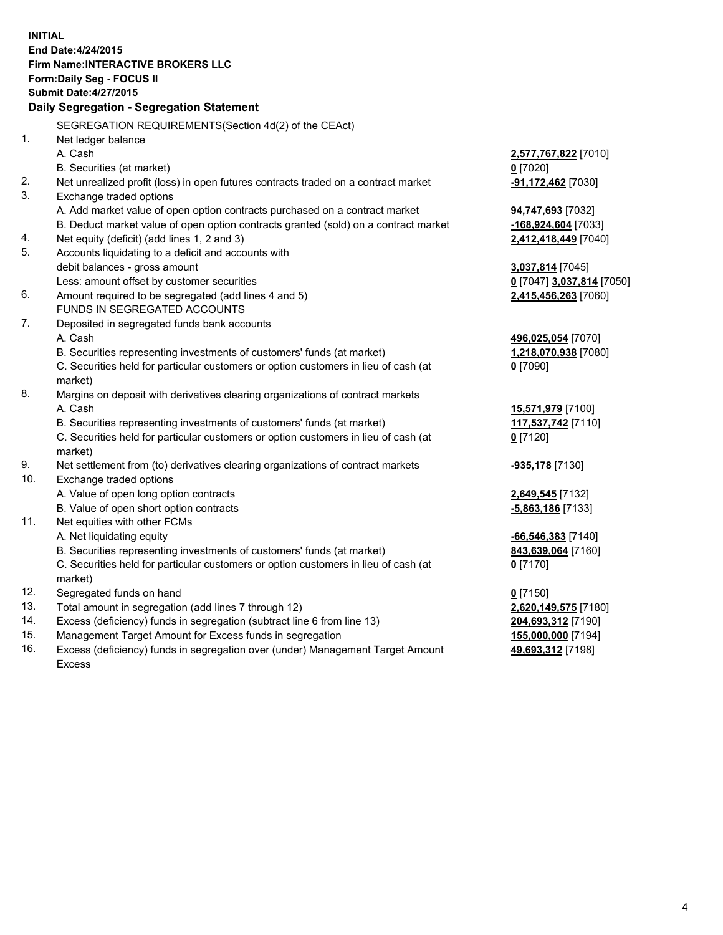**INITIAL End Date:4/24/2015 Firm Name:INTERACTIVE BROKERS LLC Form:Daily Seg - FOCUS II Submit Date:4/27/2015 Daily Segregation - Segregation Statement** SEGREGATION REQUIREMENTS(Section 4d(2) of the CEAct) 1. Net ledger balance A. Cash **2,577,767,822** [7010] B. Securities (at market) **0** [7020] 2. Net unrealized profit (loss) in open futures contracts traded on a contract market **-91,172,462** [7030] 3. Exchange traded options A. Add market value of open option contracts purchased on a contract market **94,747,693** [7032] B. Deduct market value of open option contracts granted (sold) on a contract market **-168,924,604** [7033] 4. Net equity (deficit) (add lines 1, 2 and 3) **2,412,418,449** [7040] 5. Accounts liquidating to a deficit and accounts with debit balances - gross amount **3,037,814** [7045] Less: amount offset by customer securities **0** [7047] **3,037,814** [7050] 6. Amount required to be segregated (add lines 4 and 5) **2,415,456,263** [7060] FUNDS IN SEGREGATED ACCOUNTS 7. Deposited in segregated funds bank accounts A. Cash **496,025,054** [7070] B. Securities representing investments of customers' funds (at market) **1,218,070,938** [7080] C. Securities held for particular customers or option customers in lieu of cash (at market) **0** [7090] 8. Margins on deposit with derivatives clearing organizations of contract markets A. Cash **15,571,979** [7100] B. Securities representing investments of customers' funds (at market) **117,537,742** [7110] C. Securities held for particular customers or option customers in lieu of cash (at market) **0** [7120] 9. Net settlement from (to) derivatives clearing organizations of contract markets **-935,178** [7130] 10. Exchange traded options A. Value of open long option contracts **2,649,545** [7132] B. Value of open short option contracts **-5,863,186** [7133] 11. Net equities with other FCMs A. Net liquidating equity **-66,546,383** [7140] B. Securities representing investments of customers' funds (at market) **843,639,064** [7160] C. Securities held for particular customers or option customers in lieu of cash (at market) **0** [7170] 12. Segregated funds on hand **0** [7150] 13. Total amount in segregation (add lines 7 through 12) **2,620,149,575** [7180] 14. Excess (deficiency) funds in segregation (subtract line 6 from line 13) **204,693,312** [7190] 15. Management Target Amount for Excess funds in segregation **155,000,000** [7194]

16. Excess (deficiency) funds in segregation over (under) Management Target Amount Excess

**49,693,312** [7198]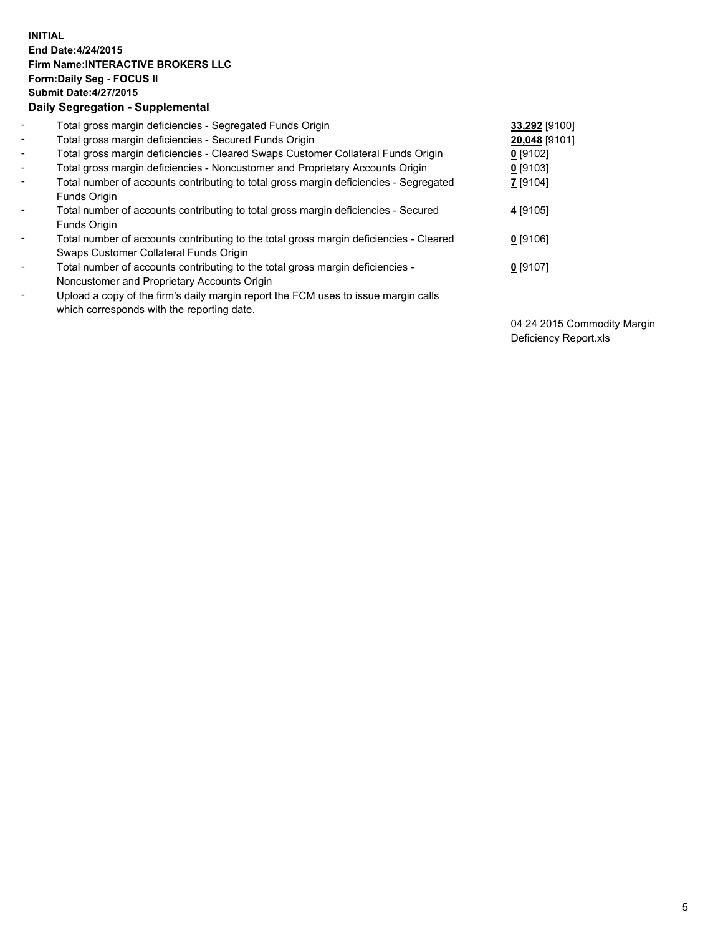## **INITIAL End Date:4/24/2015 Firm Name:INTERACTIVE BROKERS LLC Form:Daily Seg - FOCUS II Submit Date:4/27/2015 Daily Segregation - Supplemental**

| $\blacksquare$           | Total gross margin deficiencies - Segregated Funds Origin                                                                        | 33,292 [9100] |
|--------------------------|----------------------------------------------------------------------------------------------------------------------------------|---------------|
| $\blacksquare$           | Total gross margin deficiencies - Secured Funds Origin                                                                           | 20,048 [9101] |
| $\blacksquare$           | Total gross margin deficiencies - Cleared Swaps Customer Collateral Funds Origin                                                 | $0$ [9102]    |
| $\blacksquare$           | Total gross margin deficiencies - Noncustomer and Proprietary Accounts Origin                                                    | $0$ [9103]    |
| $\blacksquare$           | Total number of accounts contributing to total gross margin deficiencies - Segregated<br>Funds Origin                            | Z [9104]      |
| $\overline{\phantom{a}}$ | Total number of accounts contributing to total gross margin deficiencies - Secured<br>Funds Origin                               | 4 [9105]      |
| -                        | Total number of accounts contributing to the total gross margin deficiencies - Cleared<br>Swaps Customer Collateral Funds Origin | $0$ [9106]    |
| ۰                        | Total number of accounts contributing to the total gross margin deficiencies -<br>Noncustomer and Proprietary Accounts Origin    | $0$ [9107]    |
| $\overline{\phantom{a}}$ | Upload a copy of the firm's daily margin report the FCM uses to issue margin calls<br>which corresponds with the reporting date. |               |

04 24 2015 Commodity Margin Deficiency Report.xls